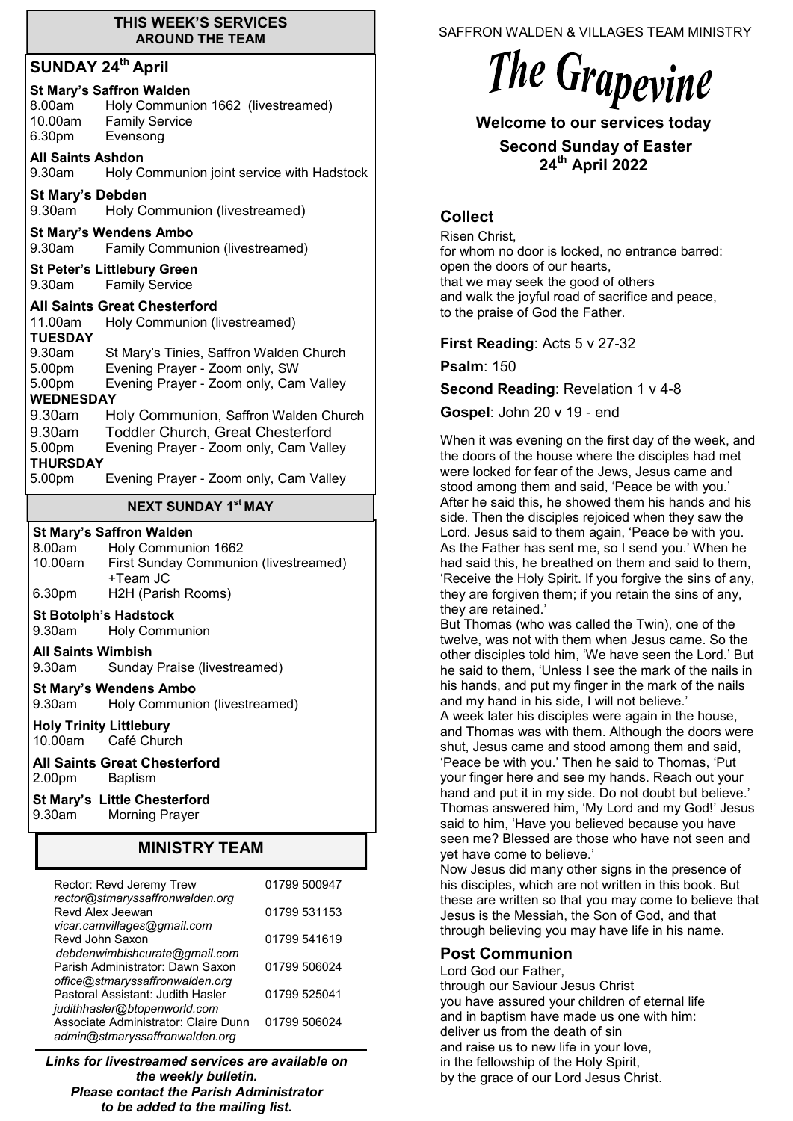#### **THIS WEEK'S SERVICES AROUND THE TEAM**

# **SUNDAY 24th April**

# **St Mary's Saffron Walden**

| 8.00am  | Holy Communion 1662 (livestreamed) |
|---------|------------------------------------|
| 10.00am | <b>Family Service</b>              |
| 6.30pm  | Evensong                           |

#### **All Saints Ashdon**

9.30am Holy Communion joint service with Hadstock

**St Mary's Debden**<br>9.30am Holy Co Holy Communion (livestreamed)

# **St Mary's Wendens Ambo**

9.30am Family Communion (livestreamed)

**St Peter's Littlebury Green**

9.30am Family Service

# **All Saints Great Chesterford**

| 11.00am          | Holy Communion (livestreamed)            |  |  |
|------------------|------------------------------------------|--|--|
| <b>TUESDAY</b>   |                                          |  |  |
| 9.30am           | St Mary's Tinies, Saffron Walden Church  |  |  |
| 5.00pm           | Evening Prayer - Zoom only, SW           |  |  |
| 5.00pm           | Evening Prayer - Zoom only, Cam Valley   |  |  |
| <b>WEDNESDAY</b> |                                          |  |  |
| 9.30am           | Holy Communion, Saffron Walden Church    |  |  |
| 9.30am           | <b>Toddler Church, Great Chesterford</b> |  |  |
| 5.00pm           | Evening Prayer - Zoom only, Cam Valley   |  |  |
| <b>THURSDAY</b>  |                                          |  |  |
| 5.00pm           | Evening Prayer - Zoom only, Cam Valley   |  |  |
|                  |                                          |  |  |

# **NEXT SUNDAY 1 st MAY**

# **St Mary's Saffron Walden**

| 8.00am  | Holy Communion 1662                   |
|---------|---------------------------------------|
| 10.00am | First Sunday Communion (livestreamed) |
|         | +Team JC                              |
| 6.30pm  | H2H (Parish Rooms)                    |

## **St Botolph's Hadstock**

9.30am Holy Communion

**All Saints Wimbish**

9.30am Sunday Praise (livestreamed)

## **St Mary's Wendens Ambo**

9.30am Holy Communion (livestreamed)

**Holy Trinity Littlebury** 10.00am Café Church

**All Saints Great Chesterford** 2.00pm Baptism

**St Mary's Little Chesterford** 9.30am Morning Prayer

# **MINISTRY TEAM**

| Rector: Revd Jeremy Trew<br>rector@stmaryssaffronwalden.org            | 01799 500947 |
|------------------------------------------------------------------------|--------------|
| Revd Alex Jeewan<br>vicar.camvillages@gmail.com                        | 01799 531153 |
| Revd John Saxon<br>debdenwimbishcurate@gmail.com                       | 01799 541619 |
| Parish Administrator: Dawn Saxon<br>office@stmaryssaffronwalden.org    | 01799 506024 |
| Pastoral Assistant: Judith Hasler<br>judithhasler@btopenworld.com      | 01799 525041 |
| Associate Administrator: Claire Dunn<br>admin@stmaryssaffronwalden.org | 01799 506024 |

*Links for livestreamed services are available on the weekly bulletin. Please contact the Parish Administrator to be added to the mailing list.*

SAFFRON WALDEN & VILLAGES TEAM MINISTRY

# The Grapevine

# **Welcome to our services today**

**Second Sunday of Easter 24th April 2022**

# **Collect**

Risen Christ, for whom no door is locked, no entrance barred: open the doors of our hearts, that we may seek the good of others and walk the joyful road of sacrifice and peace, to the praise of God the Father.

# **First Reading**: Acts 5 v 27-32

**Psalm**: 150

**Second Reading: Revelation 1 v 4-8** 

**Gospel**: John 20 v 19 - end

When it was evening on the first day of the week, and the doors of the house where the disciples had met were locked for fear of the Jews, Jesus came and stood among them and said, 'Peace be with you.' After he said this, he showed them his hands and his side. Then the disciples rejoiced when they saw the Lord. Jesus said to them again, 'Peace be with you. As the Father has sent me, so I send you.' When he had said this, he breathed on them and said to them, 'Receive the Holy Spirit. If you forgive the sins of any, they are forgiven them; if you retain the sins of any, they are retained.'

But Thomas (who was called the Twin), one of the twelve, was not with them when Jesus came. So the other disciples told him, 'We have seen the Lord.' But he said to them, 'Unless I see the mark of the nails in his hands, and put my finger in the mark of the nails and my hand in his side, I will not believe.'

A week later his disciples were again in the house, and Thomas was with them. Although the doors were shut, Jesus came and stood among them and said, 'Peace be with you.' Then he said to Thomas, 'Put your finger here and see my hands. Reach out your hand and put it in my side. Do not doubt but believe.' Thomas answered him, 'My Lord and my God!' Jesus said to him, 'Have you believed because you have seen me? Blessed are those who have not seen and yet have come to believe.'

Now Jesus did many other signs in the presence of his disciples, which are not written in this book. But these are written so that you may come to believe that Jesus is the Messiah, the Son of God, and that through believing you may have life in his name.

# **Post Communion**

Lord God our Father, through our Saviour Jesus Christ you have assured your children of eternal life and in baptism have made us one with him: deliver us from the death of sin and raise us to new life in your love, in the fellowship of the Holy Spirit, by the grace of our Lord Jesus Christ.